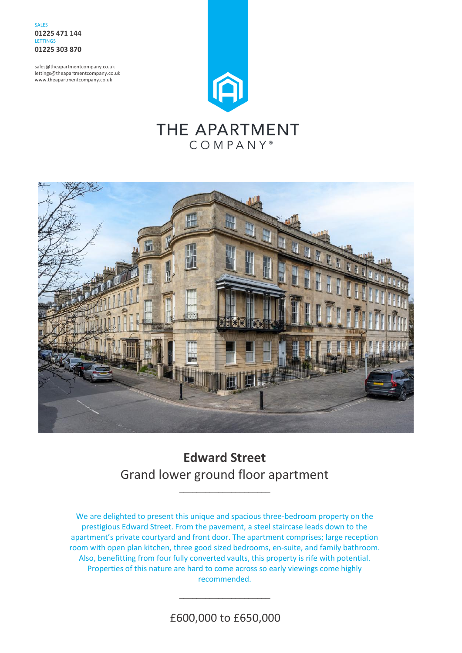**SALES 01225 471 144** LETTINGS **01225 303 870**

sales@theapartmentcompany.co.uk lettings@theapartmentcompany.co.uk www.theapartmentcompany.co.uk



# THE APARTMENT COMPANY<sup>®</sup>



# **Edward Street** Grand lower ground floor apartment

\_\_\_\_\_\_\_\_\_\_\_\_\_\_\_\_\_\_\_\_\_

We are delighted to present this unique and spacious three-bedroom property on the prestigious Edward Street. From the pavement, a steel staircase leads down to the apartment's private courtyard and front door. The apartment comprises; large reception room with open plan kitchen, three good sized bedrooms, en-suite, and family bathroom. Also, benefitting from four fully converted vaults, this property is rife with potential. Properties of this nature are hard to come across so early viewings come highly recommended.

£600,000 to £650,000

\_\_\_\_\_\_\_\_\_\_\_\_\_\_\_\_\_\_\_\_\_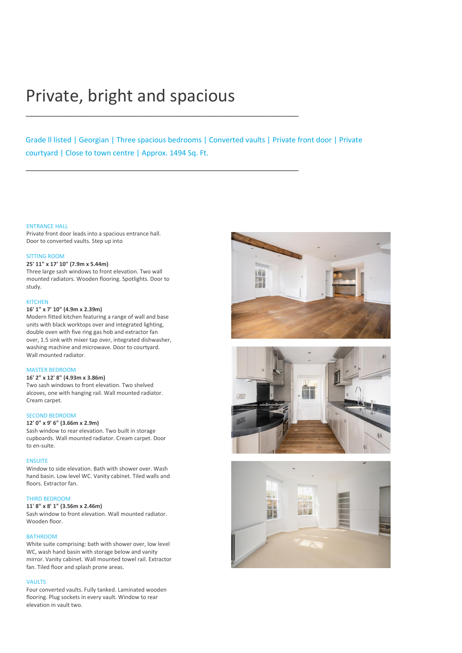# Private, bright and spacious

\_\_\_\_\_\_\_\_\_\_\_\_\_\_\_\_\_\_\_\_\_\_\_\_\_\_\_\_\_\_\_\_\_\_\_\_\_\_\_\_\_\_\_\_\_\_\_\_\_\_\_\_\_\_\_\_\_\_\_\_\_\_\_

\_\_\_\_\_\_\_\_\_\_\_\_\_\_\_\_\_\_\_\_\_\_\_\_\_\_\_\_\_\_\_\_\_\_\_\_\_\_\_\_\_\_\_\_\_\_\_\_\_\_\_\_\_\_\_\_\_\_\_\_\_\_\_

Grade ll listed | Georgian | Three spacious bedrooms | Converted vaults | Private front door | Private courtyard | Close to town centre | Approx. 1494 Sq. Ft.

#### ENTRANCE HALL

Private front door leads into a spacious entrance hall. Door to converted vaults. Step up into

#### SITTING ROOM

#### **25' 11" x 17' 10" (7.9m x 5.44m)**

Three large sash windows to front elevation. Two wall mounted radiators. Wooden flooring. Spotlights. Door to study.

#### KITCHEN

## **16' 1" x 7' 10" (4.9m x 2.39m)**

Modern fitted kitchen featuring a range of wall and base units with black worktops over and integrated lighting, double oven with five ring gas hob and extractor fan over, 1.5 sink with mixer tap over, integrated dishwasher, washing machine and microwave. Door to courtyard. Wall mounted radiator.

#### MASTER BEDROOM

## **16' 2" x 12' 8" (4.93m x 3.86m)**

Two sash windows to front elevation. Two shelved alcoves, one with hanging rail. Wall mounted radiator. Cream carpet.

#### SECOND BEDROOM

**12' 0" x 9' 6" (3.66m x 2.9m)**

Sash window to rear elevation. Two built in storage cupboards. Wall mounted radiator. Cream carpet. Door to en-suite.

#### **ENSUITE**

Window to side elevation. Bath with shower over. Wash hand basin. Low level WC. Vanity cabinet. Tiled walls and floors. Extractor fan.

#### THIRD BEDROOM

#### **11' 8" x 8' 1" (3.56m x 2.46m)**

Sash window to front elevation. Wall mounted radiator. Wooden floor.

#### BATHROOM

White suite comprising: bath with shower over, low level WC, wash hand basin with storage below and vanity mirror. Vanity cabinet. Wall mounted towel rail. Extractor fan. Tiled floor and splash prone areas.

#### **VAULTS**

Four converted vaults. Fully tanked. Laminated wooden flooring. Plug sockets in every vault. Window to rear elevation in vault two.





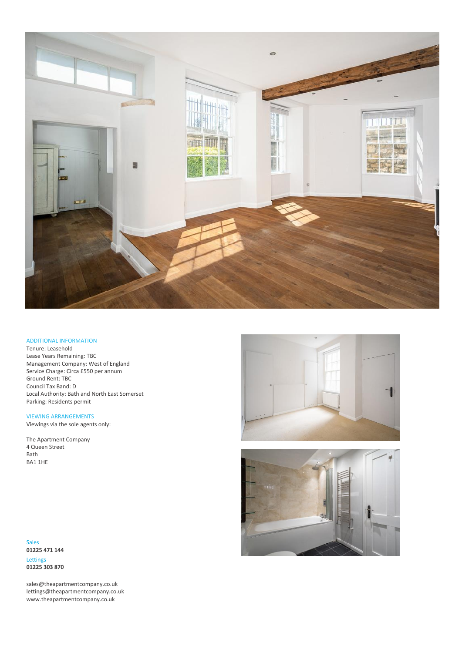

## ADDITIONAL INFORMATION

Tenure: Leasehold Lease Years Remaining: TBC Management Company: West of England Service Charge: Circa £550 per annum Ground Rent: TBC Council Tax Band: D Local Authority: Bath and North East Somerset Parking: Residents permit

VIEWING ARRANGEMENTS Viewings via the sole agents only:

The Apartment Company 4 Queen Street Bath





Sales **01225 471 144**

BA1 1HE

Lettings **01225 303 870**

sales@theapartmentcompany.co.uk lettings@theapartmentcompany.co.uk www.theapartmentcompany.co.uk